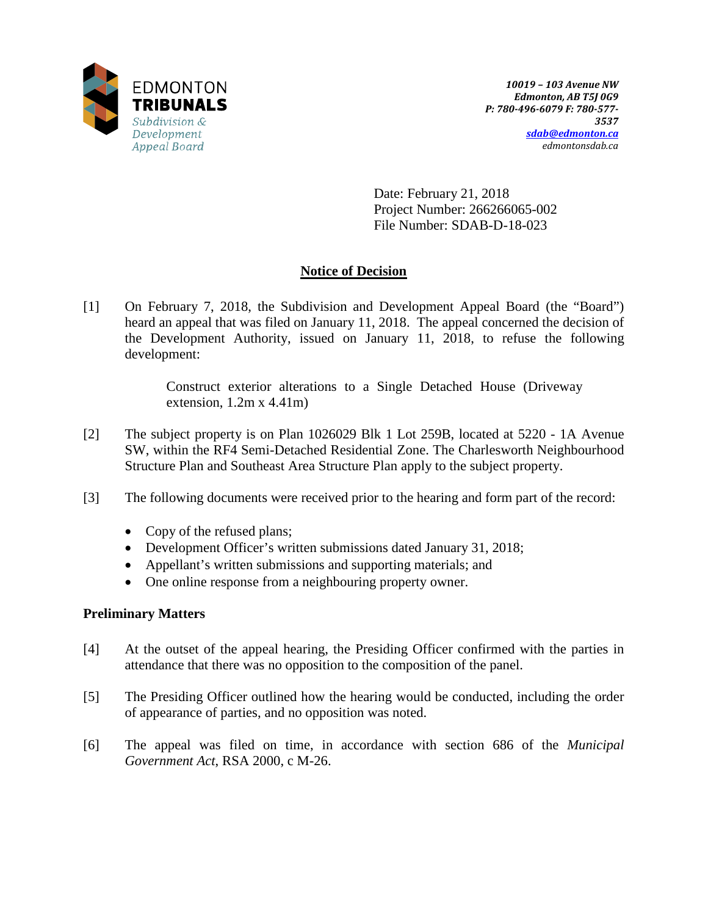

Date: February 21, 2018 Project Number: 266266065-002 File Number: SDAB-D-18-023

# **Notice of Decision**

[1] On February 7, 2018, the Subdivision and Development Appeal Board (the "Board") heard an appeal that was filed on January 11, 2018. The appeal concerned the decision of the Development Authority, issued on January 11, 2018, to refuse the following development:

> Construct exterior alterations to a Single Detached House (Driveway extension,  $1.2m \times 4.41m$

- [2] The subject property is on Plan 1026029 Blk 1 Lot 259B, located at 5220 1A Avenue SW, within the RF4 Semi-Detached Residential Zone. The Charlesworth Neighbourhood Structure Plan and Southeast Area Structure Plan apply to the subject property.
- [3] The following documents were received prior to the hearing and form part of the record:
	- Copy of the refused plans;
	- Development Officer's written submissions dated January 31, 2018;
	- Appellant's written submissions and supporting materials; and
	- One online response from a neighbouring property owner.

# **Preliminary Matters**

- [4] At the outset of the appeal hearing, the Presiding Officer confirmed with the parties in attendance that there was no opposition to the composition of the panel.
- [5] The Presiding Officer outlined how the hearing would be conducted, including the order of appearance of parties, and no opposition was noted.
- [6] The appeal was filed on time, in accordance with section 686 of the *Municipal Government Act*, RSA 2000, c M-26.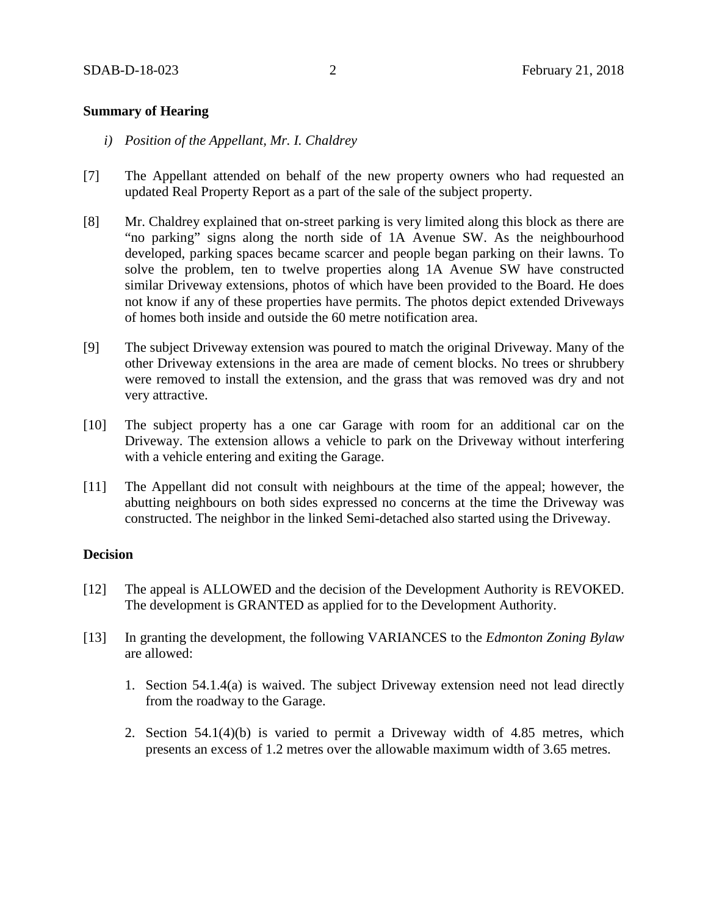# **Summary of Hearing**

- *i) Position of the Appellant, Mr. I. Chaldrey*
- [7] The Appellant attended on behalf of the new property owners who had requested an updated Real Property Report as a part of the sale of the subject property.
- [8] Mr. Chaldrey explained that on-street parking is very limited along this block as there are "no parking" signs along the north side of 1A Avenue SW. As the neighbourhood developed, parking spaces became scarcer and people began parking on their lawns. To solve the problem, ten to twelve properties along 1A Avenue SW have constructed similar Driveway extensions, photos of which have been provided to the Board. He does not know if any of these properties have permits. The photos depict extended Driveways of homes both inside and outside the 60 metre notification area.
- [9] The subject Driveway extension was poured to match the original Driveway. Many of the other Driveway extensions in the area are made of cement blocks. No trees or shrubbery were removed to install the extension, and the grass that was removed was dry and not very attractive.
- [10] The subject property has a one car Garage with room for an additional car on the Driveway. The extension allows a vehicle to park on the Driveway without interfering with a vehicle entering and exiting the Garage.
- [11] The Appellant did not consult with neighbours at the time of the appeal; however, the abutting neighbours on both sides expressed no concerns at the time the Driveway was constructed. The neighbor in the linked Semi-detached also started using the Driveway.

## **Decision**

- [12] The appeal is ALLOWED and the decision of the Development Authority is REVOKED. The development is GRANTED as applied for to the Development Authority.
- [13] In granting the development, the following VARIANCES to the *Edmonton Zoning Bylaw* are allowed:
	- 1. Section 54.1.4(a) is waived. The subject Driveway extension need not lead directly from the roadway to the Garage.
	- 2. Section 54.1(4)(b) is varied to permit a Driveway width of 4.85 metres, which presents an excess of 1.2 metres over the allowable maximum width of 3.65 metres.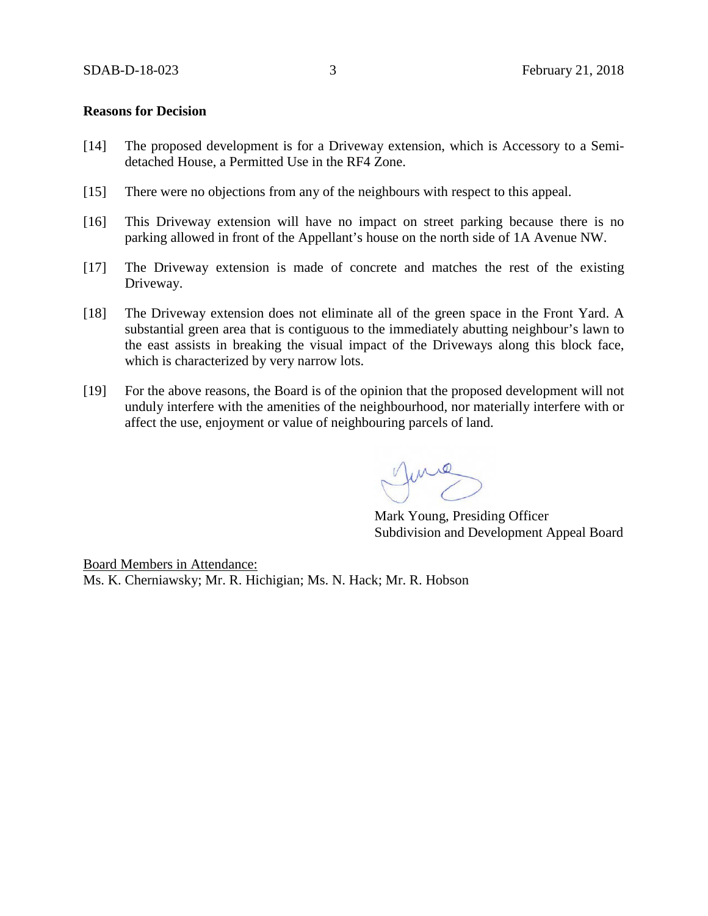#### **Reasons for Decision**

- [14] The proposed development is for a Driveway extension, which is Accessory to a Semidetached House, a Permitted Use in the RF4 Zone.
- [15] There were no objections from any of the neighbours with respect to this appeal.
- [16] This Driveway extension will have no impact on street parking because there is no parking allowed in front of the Appellant's house on the north side of 1A Avenue NW.
- [17] The Driveway extension is made of concrete and matches the rest of the existing Driveway.
- [18] The Driveway extension does not eliminate all of the green space in the Front Yard. A substantial green area that is contiguous to the immediately abutting neighbour's lawn to the east assists in breaking the visual impact of the Driveways along this block face, which is characterized by very narrow lots.
- [19] For the above reasons, the Board is of the opinion that the proposed development will not unduly interfere with the amenities of the neighbourhood, nor materially interfere with or affect the use, enjoyment or value of neighbouring parcels of land.

June

Mark Young, Presiding Officer Subdivision and Development Appeal Board

Board Members in Attendance: Ms. K. Cherniawsky; Mr. R. Hichigian; Ms. N. Hack; Mr. R. Hobson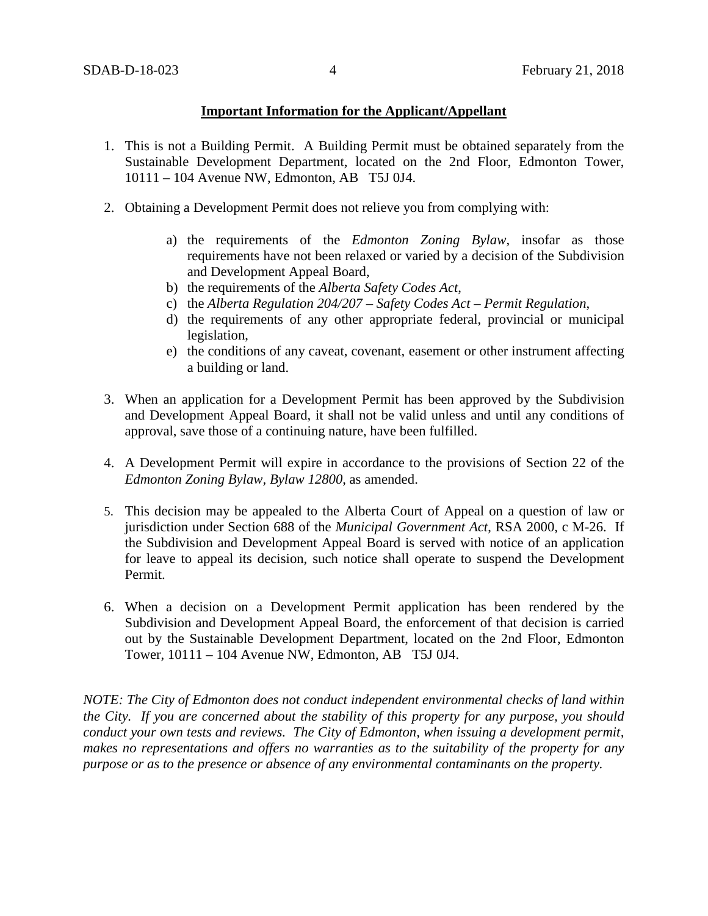# **Important Information for the Applicant/Appellant**

- 1. This is not a Building Permit. A Building Permit must be obtained separately from the Sustainable Development Department, located on the 2nd Floor, Edmonton Tower, 10111 – 104 Avenue NW, Edmonton, AB T5J 0J4.
- 2. Obtaining a Development Permit does not relieve you from complying with:
	- a) the requirements of the *Edmonton Zoning Bylaw*, insofar as those requirements have not been relaxed or varied by a decision of the Subdivision and Development Appeal Board,
	- b) the requirements of the *Alberta Safety Codes Act*,
	- c) the *Alberta Regulation 204/207 – Safety Codes Act – Permit Regulation*,
	- d) the requirements of any other appropriate federal, provincial or municipal legislation,
	- e) the conditions of any caveat, covenant, easement or other instrument affecting a building or land.
- 3. When an application for a Development Permit has been approved by the Subdivision and Development Appeal Board, it shall not be valid unless and until any conditions of approval, save those of a continuing nature, have been fulfilled.
- 4. A Development Permit will expire in accordance to the provisions of Section 22 of the *Edmonton Zoning Bylaw, Bylaw 12800*, as amended.
- 5. This decision may be appealed to the Alberta Court of Appeal on a question of law or jurisdiction under Section 688 of the *Municipal Government Act*, RSA 2000, c M-26. If the Subdivision and Development Appeal Board is served with notice of an application for leave to appeal its decision, such notice shall operate to suspend the Development Permit.
- 6. When a decision on a Development Permit application has been rendered by the Subdivision and Development Appeal Board, the enforcement of that decision is carried out by the Sustainable Development Department, located on the 2nd Floor, Edmonton Tower, 10111 – 104 Avenue NW, Edmonton, AB T5J 0J4.

*NOTE: The City of Edmonton does not conduct independent environmental checks of land within the City. If you are concerned about the stability of this property for any purpose, you should conduct your own tests and reviews. The City of Edmonton, when issuing a development permit, makes no representations and offers no warranties as to the suitability of the property for any purpose or as to the presence or absence of any environmental contaminants on the property.*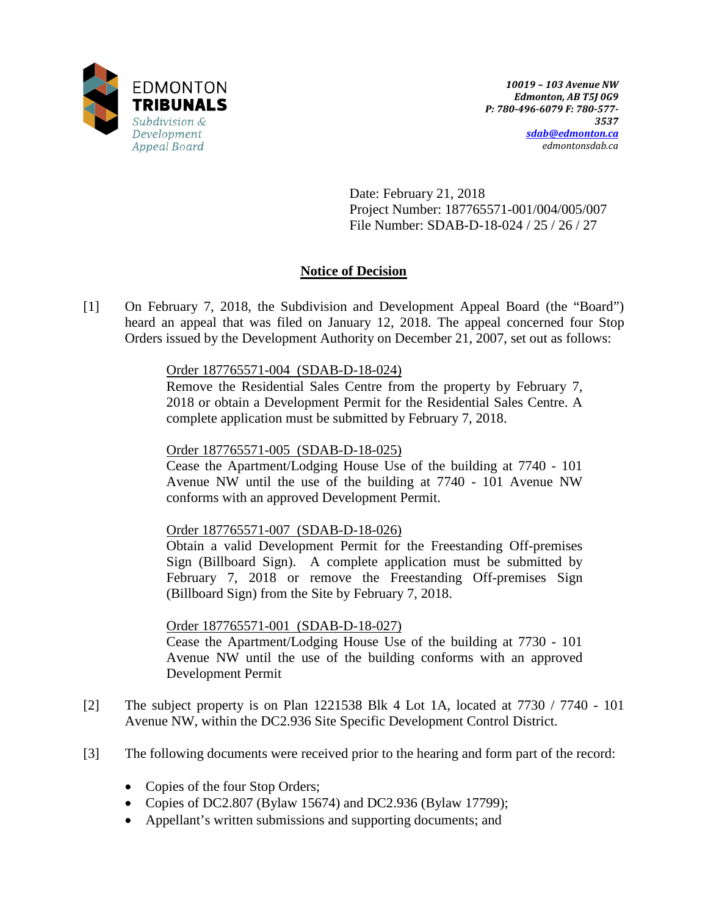

Date: February 21, 2018 Project Number: 187765571-001/004/005/007 File Number: SDAB-D-18-024 / 25 / 26 / 27

# **Notice of Decision**

[1] On February 7, 2018, the Subdivision and Development Appeal Board (the "Board") heard an appeal that was filed on January 12, 2018. The appeal concerned four Stop Orders issued by the Development Authority on December 21, 2007, set out as follows:

# Order 187765571-004 (SDAB-D-18-024)

Remove the Residential Sales Centre from the property by February 7, 2018 or obtain a Development Permit for the Residential Sales Centre. A complete application must be submitted by February 7, 2018.

# Order 187765571-005 (SDAB-D-18-025)

Cease the Apartment/Lodging House Use of the building at 7740 - 101 Avenue NW until the use of the building at 7740 - 101 Avenue NW conforms with an approved Development Permit.

### Order 187765571-007 (SDAB-D-18-026)

Obtain a valid Development Permit for the Freestanding Off-premises Sign (Billboard Sign). A complete application must be submitted by February 7, 2018 or remove the Freestanding Off-premises Sign (Billboard Sign) from the Site by February 7, 2018.

# Order 187765571-001 (SDAB-D-18-027)

Cease the Apartment/Lodging House Use of the building at 7730 - 101 Avenue NW until the use of the building conforms with an approved Development Permit

- [2] The subject property is on Plan 1221538 Blk 4 Lot 1A, located at 7730 / 7740 101 Avenue NW, within the DC2.936 Site Specific Development Control District.
- [3] The following documents were received prior to the hearing and form part of the record:
	- Copies of the four Stop Orders;
	- Copies of DC2.807 (Bylaw 15674) and DC2.936 (Bylaw 17799);
	- Appellant's written submissions and supporting documents; and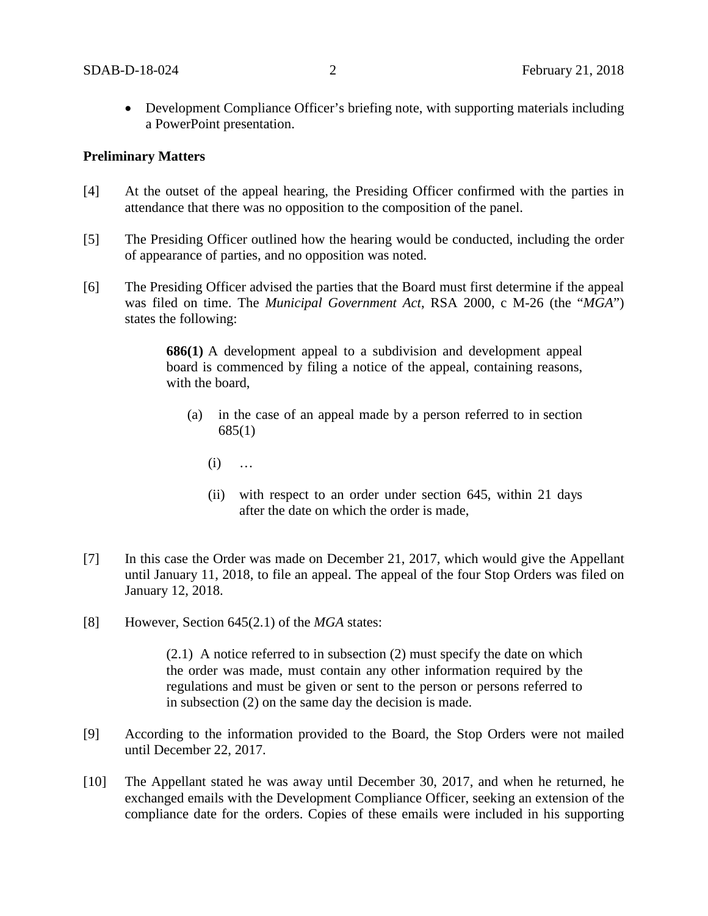• Development Compliance Officer's briefing note, with supporting materials including a PowerPoint presentation.

## **Preliminary Matters**

- [4] At the outset of the appeal hearing, the Presiding Officer confirmed with the parties in attendance that there was no opposition to the composition of the panel.
- [5] The Presiding Officer outlined how the hearing would be conducted, including the order of appearance of parties, and no opposition was noted.
- [6] The Presiding Officer advised the parties that the Board must first determine if the appeal was filed on time. The *Municipal Government Act*, RSA 2000, c M-26 (the "*MGA*") states the following:

**686(1)** A development appeal to a subdivision and development appeal board is commenced by filing a notice of the appeal, containing reasons, with the board,

- (a) in the case of an appeal made by a person referred to in section 685(1)
	- $(i) \quad \ldots$
	- (ii) with respect to an order under section 645, within 21 days after the date on which the order is made,
- [7] In this case the Order was made on December 21, 2017, which would give the Appellant until January 11, 2018, to file an appeal. The appeal of the four Stop Orders was filed on January 12, 2018.
- [8] However, Section 645(2.1) of the *MGA* states:

(2.1)A notice referred to in subsection (2) must specify the date on which the order was made, must contain any other information required by the regulations and must be given or sent to the person or persons referred to in subsection (2) on the same day the decision is made.

- [9] According to the information provided to the Board, the Stop Orders were not mailed until December 22, 2017.
- [10] The Appellant stated he was away until December 30, 2017, and when he returned, he exchanged emails with the Development Compliance Officer, seeking an extension of the compliance date for the orders. Copies of these emails were included in his supporting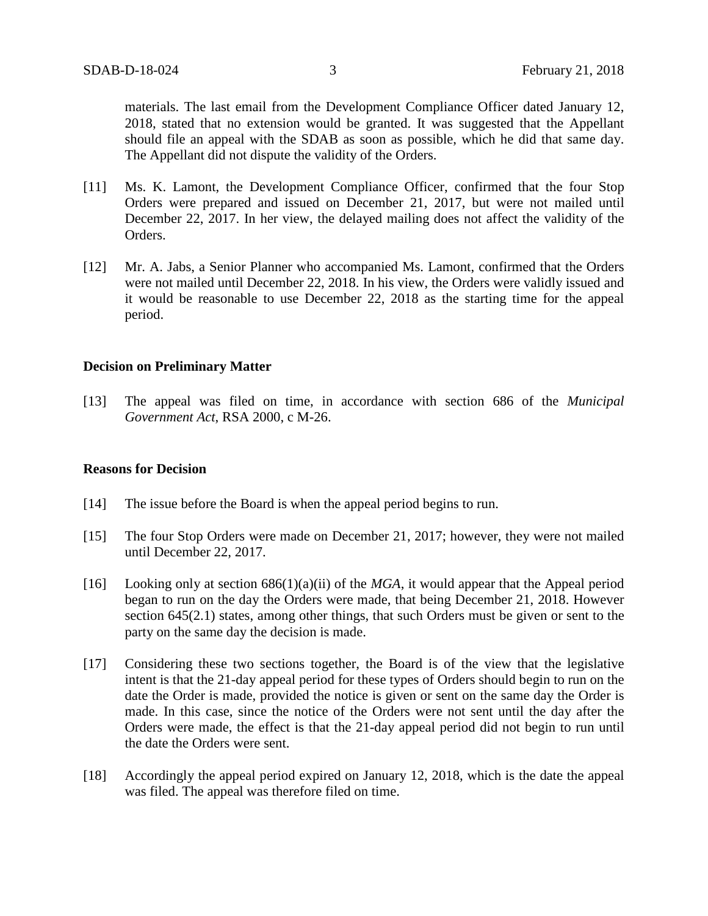materials. The last email from the Development Compliance Officer dated January 12, 2018, stated that no extension would be granted. It was suggested that the Appellant should file an appeal with the SDAB as soon as possible, which he did that same day. The Appellant did not dispute the validity of the Orders.

- [11] Ms. K. Lamont, the Development Compliance Officer, confirmed that the four Stop Orders were prepared and issued on December 21, 2017, but were not mailed until December 22, 2017. In her view, the delayed mailing does not affect the validity of the Orders.
- [12] Mr. A. Jabs, a Senior Planner who accompanied Ms. Lamont, confirmed that the Orders were not mailed until December 22, 2018. In his view, the Orders were validly issued and it would be reasonable to use December 22, 2018 as the starting time for the appeal period.

### **Decision on Preliminary Matter**

[13] The appeal was filed on time, in accordance with section 686 of the *Municipal Government Act*, RSA 2000, c M-26.

### **Reasons for Decision**

- [14] The issue before the Board is when the appeal period begins to run.
- [15] The four Stop Orders were made on December 21, 2017; however, they were not mailed until December 22, 2017.
- [16] Looking only at section  $686(1)(a)(ii)$  of the *MGA*, it would appear that the Appeal period began to run on the day the Orders were made, that being December 21, 2018. However section 645(2.1) states, among other things, that such Orders must be given or sent to the party on the same day the decision is made.
- [17] Considering these two sections together, the Board is of the view that the legislative intent is that the 21-day appeal period for these types of Orders should begin to run on the date the Order is made, provided the notice is given or sent on the same day the Order is made. In this case, since the notice of the Orders were not sent until the day after the Orders were made, the effect is that the 21-day appeal period did not begin to run until the date the Orders were sent.
- [18] Accordingly the appeal period expired on January 12, 2018, which is the date the appeal was filed. The appeal was therefore filed on time.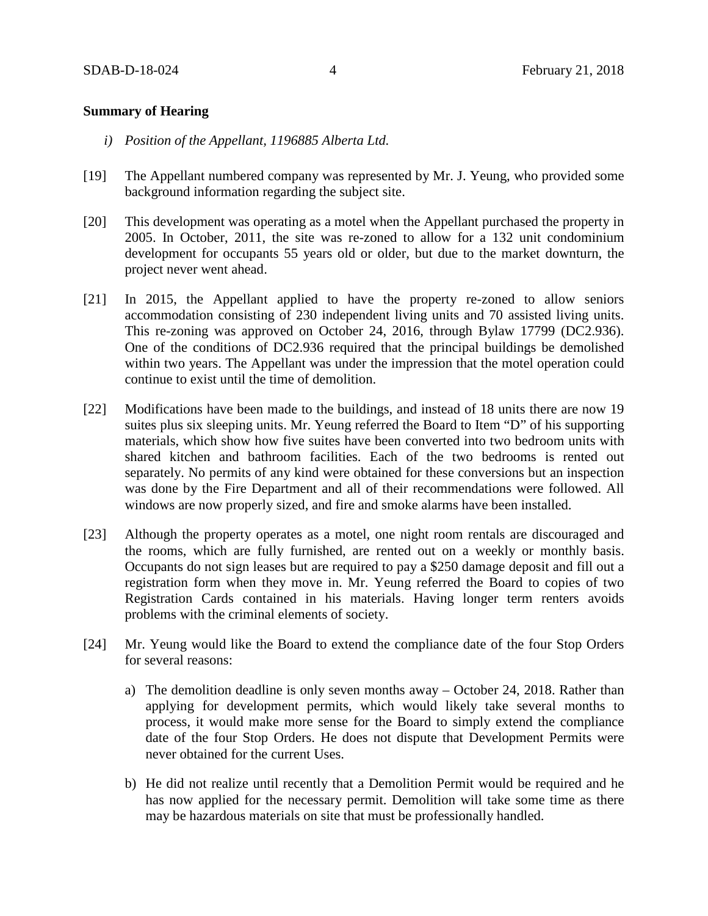# **Summary of Hearing**

- *i) Position of the Appellant, 1196885 Alberta Ltd.*
- [19] The Appellant numbered company was represented by Mr. J. Yeung, who provided some background information regarding the subject site.
- [20] This development was operating as a motel when the Appellant purchased the property in 2005. In October, 2011, the site was re-zoned to allow for a 132 unit condominium development for occupants 55 years old or older, but due to the market downturn, the project never went ahead.
- [21] In 2015, the Appellant applied to have the property re-zoned to allow seniors accommodation consisting of 230 independent living units and 70 assisted living units. This re-zoning was approved on October 24, 2016, through Bylaw 17799 (DC2.936). One of the conditions of DC2.936 required that the principal buildings be demolished within two years. The Appellant was under the impression that the motel operation could continue to exist until the time of demolition.
- [22] Modifications have been made to the buildings, and instead of 18 units there are now 19 suites plus six sleeping units. Mr. Yeung referred the Board to Item "D" of his supporting materials, which show how five suites have been converted into two bedroom units with shared kitchen and bathroom facilities. Each of the two bedrooms is rented out separately. No permits of any kind were obtained for these conversions but an inspection was done by the Fire Department and all of their recommendations were followed. All windows are now properly sized, and fire and smoke alarms have been installed.
- [23] Although the property operates as a motel, one night room rentals are discouraged and the rooms, which are fully furnished, are rented out on a weekly or monthly basis. Occupants do not sign leases but are required to pay a \$250 damage deposit and fill out a registration form when they move in. Mr. Yeung referred the Board to copies of two Registration Cards contained in his materials. Having longer term renters avoids problems with the criminal elements of society.
- [24] Mr. Yeung would like the Board to extend the compliance date of the four Stop Orders for several reasons:
	- a) The demolition deadline is only seven months away October 24, 2018. Rather than applying for development permits, which would likely take several months to process, it would make more sense for the Board to simply extend the compliance date of the four Stop Orders. He does not dispute that Development Permits were never obtained for the current Uses.
	- b) He did not realize until recently that a Demolition Permit would be required and he has now applied for the necessary permit. Demolition will take some time as there may be hazardous materials on site that must be professionally handled.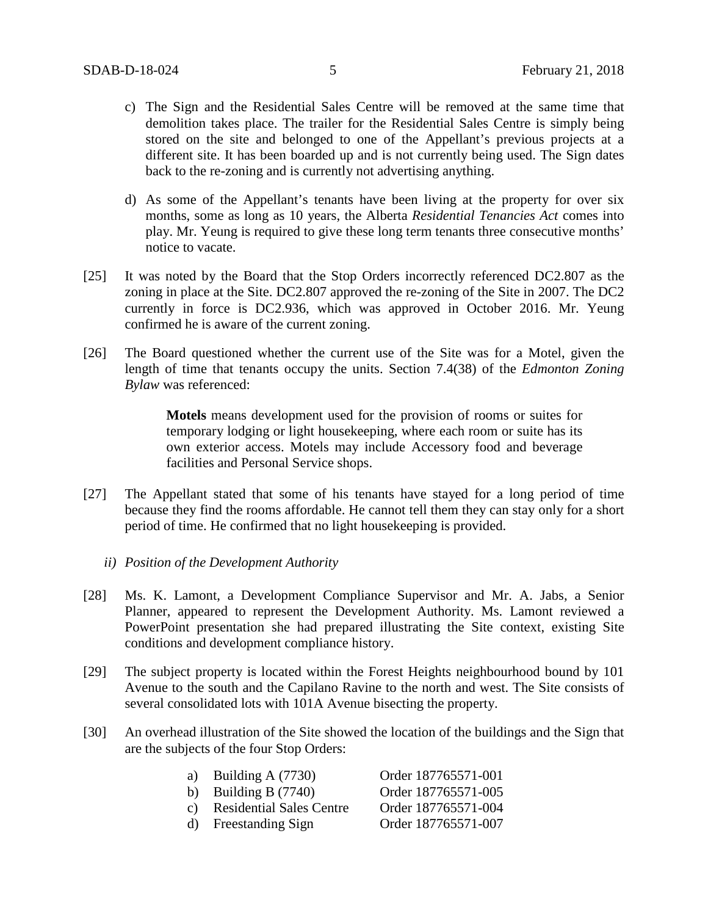- c) The Sign and the Residential Sales Centre will be removed at the same time that demolition takes place. The trailer for the Residential Sales Centre is simply being stored on the site and belonged to one of the Appellant's previous projects at a different site. It has been boarded up and is not currently being used. The Sign dates back to the re-zoning and is currently not advertising anything.
- d) As some of the Appellant's tenants have been living at the property for over six months, some as long as 10 years, the Alberta *Residential Tenancies Act* comes into play. Mr. Yeung is required to give these long term tenants three consecutive months' notice to vacate.
- [25] It was noted by the Board that the Stop Orders incorrectly referenced DC2.807 as the zoning in place at the Site. DC2.807 approved the re-zoning of the Site in 2007. The DC2 currently in force is DC2.936, which was approved in October 2016. Mr. Yeung confirmed he is aware of the current zoning.
- [26] The Board questioned whether the current use of the Site was for a Motel, given the length of time that tenants occupy the units. Section 7.4(38) of the *Edmonton Zoning Bylaw* was referenced:

**Motels** means development used for the provision of rooms or suites for temporary lodging or light housekeeping, where each room or suite has its own exterior access. Motels may include Accessory food and beverage facilities and Personal Service shops.

- [27] The Appellant stated that some of his tenants have stayed for a long period of time because they find the rooms affordable. He cannot tell them they can stay only for a short period of time. He confirmed that no light housekeeping is provided.
	- *ii) Position of the Development Authority*
- [28] Ms. K. Lamont, a Development Compliance Supervisor and Mr. A. Jabs, a Senior Planner, appeared to represent the Development Authority. Ms. Lamont reviewed a PowerPoint presentation she had prepared illustrating the Site context, existing Site conditions and development compliance history.
- [29] The subject property is located within the Forest Heights neighbourhood bound by 101 Avenue to the south and the Capilano Ravine to the north and west. The Site consists of several consolidated lots with 101A Avenue bisecting the property.
- [30] An overhead illustration of the Site showed the location of the buildings and the Sign that are the subjects of the four Stop Orders:

| a) Building A $(7730)$      | Order 187765571-001 |
|-----------------------------|---------------------|
| b) Building B $(7740)$      | Order 187765571-005 |
| c) Residential Sales Centre | Order 187765571-004 |
| d) Freestanding Sign        | Order 187765571-007 |
|                             |                     |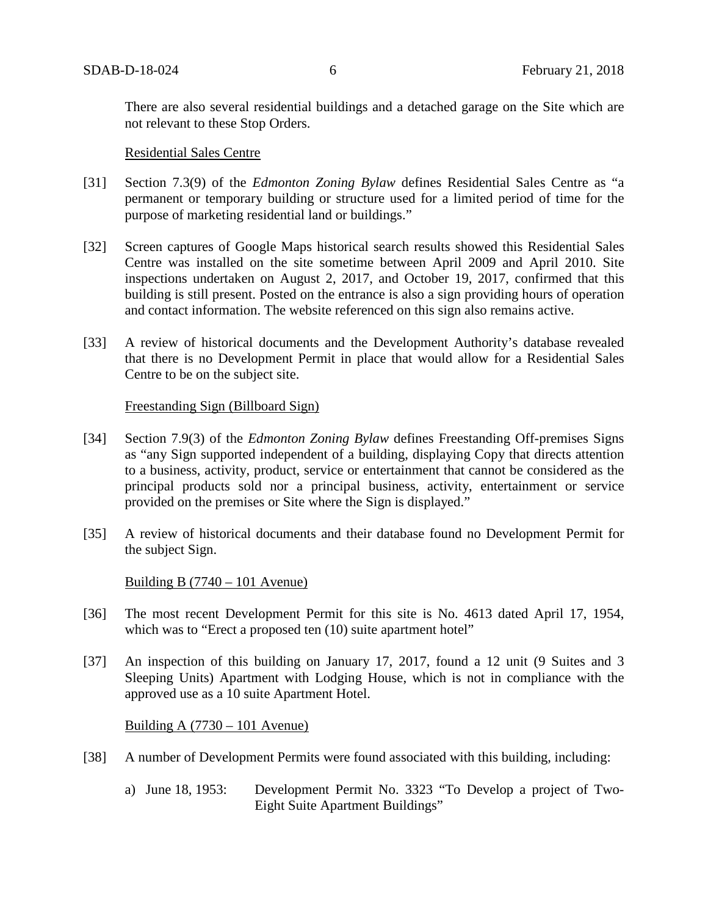There are also several residential buildings and a detached garage on the Site which are not relevant to these Stop Orders.

#### Residential Sales Centre

- [31] Section 7.3(9) of the *Edmonton Zoning Bylaw* defines Residential Sales Centre as "a permanent or temporary building or structure used for a limited period of time for the purpose of marketing residential land or buildings."
- [32] Screen captures of Google Maps historical search results showed this Residential Sales Centre was installed on the site sometime between April 2009 and April 2010. Site inspections undertaken on August 2, 2017, and October 19, 2017, confirmed that this building is still present. Posted on the entrance is also a sign providing hours of operation and contact information. The website referenced on this sign also remains active.
- [33] A review of historical documents and the Development Authority's database revealed that there is no Development Permit in place that would allow for a Residential Sales Centre to be on the subject site.

### Freestanding Sign (Billboard Sign)

- [34] Section 7.9(3) of the *Edmonton Zoning Bylaw* defines Freestanding Off-premises Signs as "any Sign supported independent of a building, displaying Copy that directs attention to a business, activity, product, service or entertainment that cannot be considered as the principal products sold nor a principal business, activity, entertainment or service provided on the premises or Site where the Sign is displayed."
- [35] A review of historical documents and their database found no Development Permit for the subject Sign.

# Building B  $(7740 - 101$  Avenue)

- [36] The most recent Development Permit for this site is No. 4613 dated April 17, 1954, which was to "Erect a proposed ten (10) suite apartment hotel"
- [37] An inspection of this building on January 17, 2017, found a 12 unit (9 Suites and 3 Sleeping Units) Apartment with Lodging House, which is not in compliance with the approved use as a 10 suite Apartment Hotel.

Building A  $(7730 - 101$  Avenue)

- [38] A number of Development Permits were found associated with this building, including:
	- a) June 18, 1953: Development Permit No. 3323 "To Develop a project of Two-Eight Suite Apartment Buildings"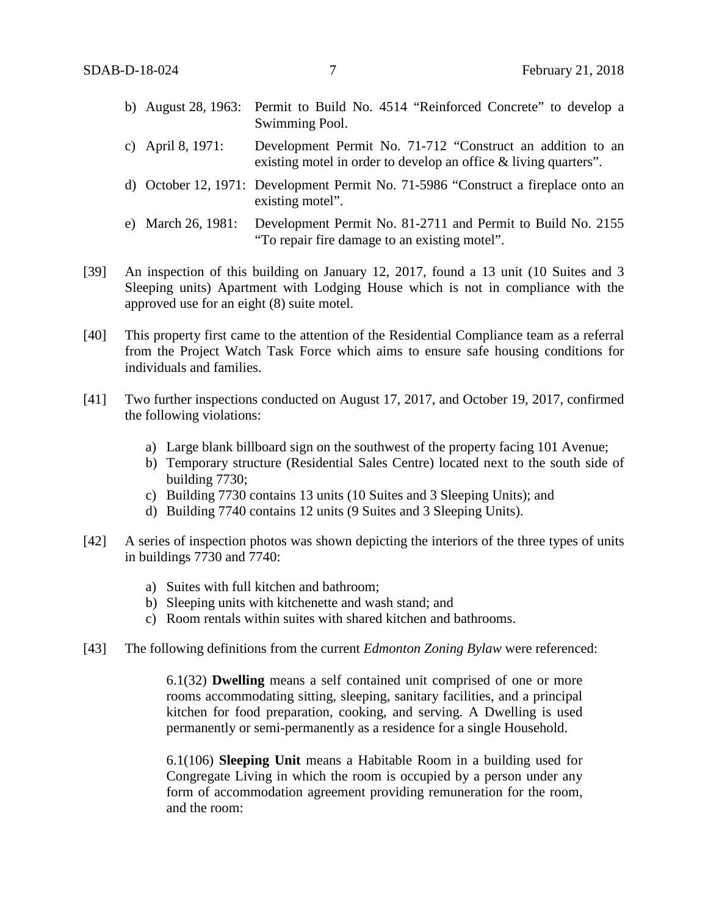- b) August 28, 1963: Permit to Build No. 4514 "Reinforced Concrete" to develop a Swimming Pool.
- c) April 8, 1971: Development Permit No. 71-712 "Construct an addition to an existing motel in order to develop an office & living quarters".
- d) October 12, 1971: Development Permit No. 71-5986 "Construct a fireplace onto an existing motel".
- e) March 26, 1981: Development Permit No. 81-2711 and Permit to Build No. 2155 "To repair fire damage to an existing motel".
- [39] An inspection of this building on January 12, 2017, found a 13 unit (10 Suites and 3 Sleeping units) Apartment with Lodging House which is not in compliance with the approved use for an eight (8) suite motel.
- [40] This property first came to the attention of the Residential Compliance team as a referral from the Project Watch Task Force which aims to ensure safe housing conditions for individuals and families.
- [41] Two further inspections conducted on August 17, 2017, and October 19, 2017, confirmed the following violations:
	- a) Large blank billboard sign on the southwest of the property facing 101 Avenue;
	- b) Temporary structure (Residential Sales Centre) located next to the south side of building 7730;
	- c) Building 7730 contains 13 units (10 Suites and 3 Sleeping Units); and
	- d) Building 7740 contains 12 units (9 Suites and 3 Sleeping Units).
- [42] A series of inspection photos was shown depicting the interiors of the three types of units in buildings 7730 and 7740:
	- a) Suites with full kitchen and bathroom;
	- b) Sleeping units with kitchenette and wash stand; and
	- c) Room rentals within suites with shared kitchen and bathrooms.
- [43] The following definitions from the current *Edmonton Zoning Bylaw* were referenced:

6.1(32) **Dwelling** means a self contained unit comprised of one or more rooms accommodating sitting, sleeping, sanitary facilities, and a principal kitchen for food preparation, cooking, and serving. A Dwelling is used permanently or semi-permanently as a residence for a single Household.

6.1(106) **Sleeping Unit** means a Habitable Room in a building used for Congregate Living in which the room is occupied by a person under any form of accommodation agreement providing remuneration for the room, and the room: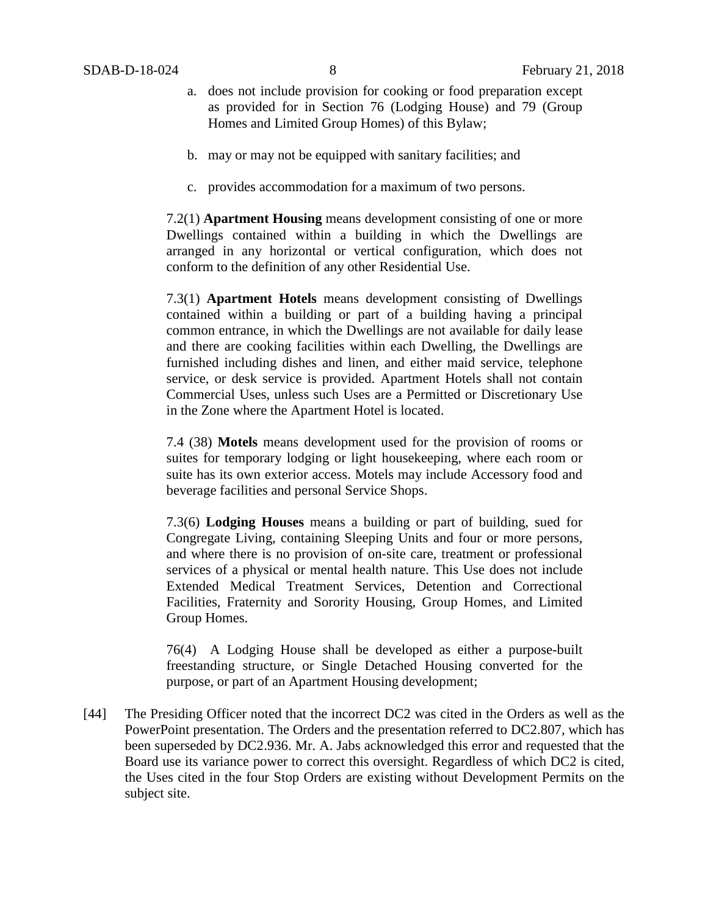- a. does not include provision for cooking or food preparation except as provided for in Section 76 (Lodging House) and 79 (Group Homes and Limited Group Homes) of this Bylaw;
- b. may or may not be equipped with sanitary facilities; and
- c. provides accommodation for a maximum of two persons.

7.2(1) **Apartment Housing** means development consisting of one or more Dwellings contained within a building in which the Dwellings are arranged in any horizontal or vertical configuration, which does not conform to the definition of any other Residential Use.

7.3(1) **Apartment Hotels** means development consisting of Dwellings contained within a building or part of a building having a principal common entrance, in which the Dwellings are not available for daily lease and there are cooking facilities within each Dwelling, the Dwellings are furnished including dishes and linen, and either maid service, telephone service, or desk service is provided. Apartment Hotels shall not contain Commercial Uses, unless such Uses are a Permitted or Discretionary Use in the Zone where the Apartment Hotel is located.

7.4 (38) **Motels** means development used for the provision of rooms or suites for temporary lodging or light housekeeping, where each room or suite has its own exterior access. Motels may include Accessory food and beverage facilities and personal Service Shops.

7.3(6) **Lodging Houses** means a building or part of building, sued for Congregate Living, containing Sleeping Units and four or more persons, and where there is no provision of on-site care, treatment or professional services of a physical or mental health nature. This Use does not include Extended Medical Treatment Services, Detention and Correctional Facilities, Fraternity and Sorority Housing, Group Homes, and Limited Group Homes.

76(4) A Lodging House shall be developed as either a purpose-built freestanding structure, or Single Detached Housing converted for the purpose, or part of an Apartment Housing development;

[44] The Presiding Officer noted that the incorrect DC2 was cited in the Orders as well as the PowerPoint presentation. The Orders and the presentation referred to DC2.807, which has been superseded by DC2.936. Mr. A. Jabs acknowledged this error and requested that the Board use its variance power to correct this oversight. Regardless of which DC2 is cited, the Uses cited in the four Stop Orders are existing without Development Permits on the subject site.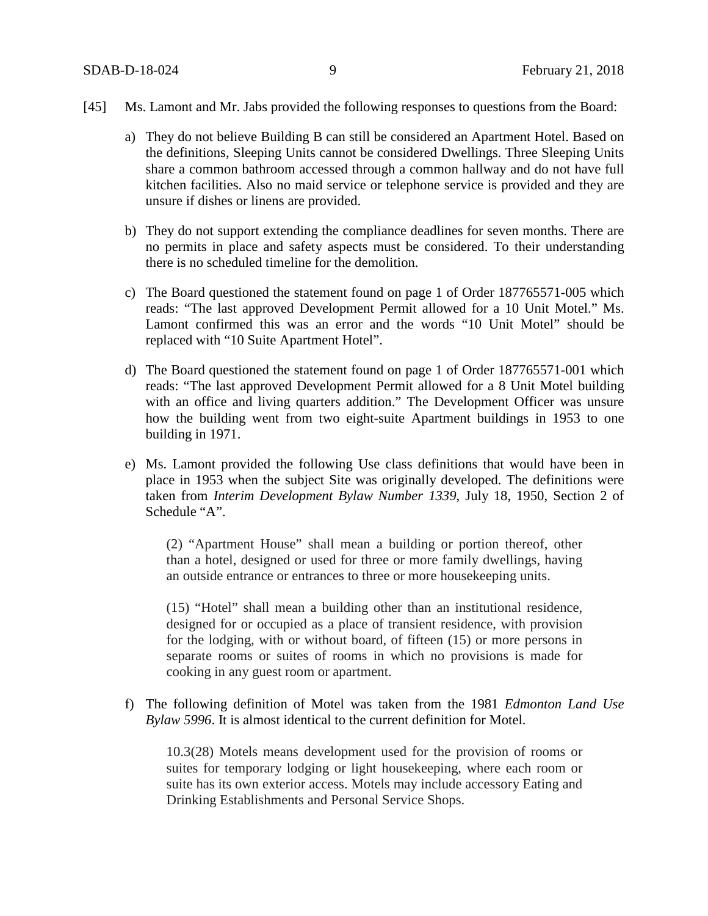- [45] Ms. Lamont and Mr. Jabs provided the following responses to questions from the Board:
	- a) They do not believe Building B can still be considered an Apartment Hotel. Based on the definitions, Sleeping Units cannot be considered Dwellings. Three Sleeping Units share a common bathroom accessed through a common hallway and do not have full kitchen facilities. Also no maid service or telephone service is provided and they are unsure if dishes or linens are provided.
	- b) They do not support extending the compliance deadlines for seven months. There are no permits in place and safety aspects must be considered. To their understanding there is no scheduled timeline for the demolition.
	- c) The Board questioned the statement found on page 1 of Order 187765571-005 which reads: "The last approved Development Permit allowed for a 10 Unit Motel." Ms. Lamont confirmed this was an error and the words "10 Unit Motel" should be replaced with "10 Suite Apartment Hotel".
	- d) The Board questioned the statement found on page 1 of Order 187765571-001 which reads: "The last approved Development Permit allowed for a 8 Unit Motel building with an office and living quarters addition." The Development Officer was unsure how the building went from two eight-suite Apartment buildings in 1953 to one building in 1971.
	- e) Ms. Lamont provided the following Use class definitions that would have been in place in 1953 when the subject Site was originally developed. The definitions were taken from *Interim Development Bylaw Number 1339*, July 18, 1950, Section 2 of Schedule "A".

(2) "Apartment House" shall mean a building or portion thereof, other than a hotel, designed or used for three or more family dwellings, having an outside entrance or entrances to three or more housekeeping units.

(15) "Hotel" shall mean a building other than an institutional residence, designed for or occupied as a place of transient residence, with provision for the lodging, with or without board, of fifteen (15) or more persons in separate rooms or suites of rooms in which no provisions is made for cooking in any guest room or apartment.

f) The following definition of Motel was taken from the 1981 *Edmonton Land Use Bylaw 5996*. It is almost identical to the current definition for Motel.

10.3(28) Motels means development used for the provision of rooms or suites for temporary lodging or light housekeeping, where each room or suite has its own exterior access. Motels may include accessory Eating and Drinking Establishments and Personal Service Shops.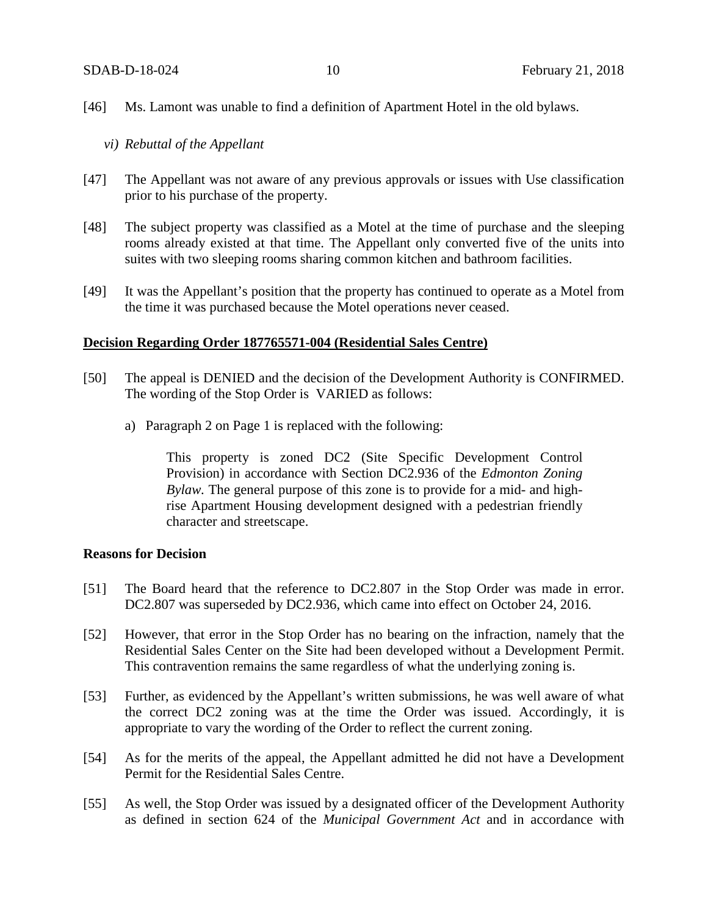- [46] Ms. Lamont was unable to find a definition of Apartment Hotel in the old bylaws.
	- *vi) Rebuttal of the Appellant*
- [47] The Appellant was not aware of any previous approvals or issues with Use classification prior to his purchase of the property.
- [48] The subject property was classified as a Motel at the time of purchase and the sleeping rooms already existed at that time. The Appellant only converted five of the units into suites with two sleeping rooms sharing common kitchen and bathroom facilities.
- [49] It was the Appellant's position that the property has continued to operate as a Motel from the time it was purchased because the Motel operations never ceased.

#### **Decision Regarding Order 187765571-004 (Residential Sales Centre)**

- [50] The appeal is DENIED and the decision of the Development Authority is CONFIRMED. The wording of the Stop Order is VARIED as follows:
	- a) Paragraph 2 on Page 1 is replaced with the following:

This property is zoned DC2 (Site Specific Development Control Provision) in accordance with Section DC2.936 of the *Edmonton Zoning Bylaw.* The general purpose of this zone is to provide for a mid- and highrise Apartment Housing development designed with a pedestrian friendly character and streetscape.

# **Reasons for Decision**

- [51] The Board heard that the reference to DC2.807 in the Stop Order was made in error. DC2.807 was superseded by DC2.936, which came into effect on October 24, 2016.
- [52] However, that error in the Stop Order has no bearing on the infraction, namely that the Residential Sales Center on the Site had been developed without a Development Permit. This contravention remains the same regardless of what the underlying zoning is.
- [53] Further, as evidenced by the Appellant's written submissions, he was well aware of what the correct DC2 zoning was at the time the Order was issued. Accordingly, it is appropriate to vary the wording of the Order to reflect the current zoning.
- [54] As for the merits of the appeal, the Appellant admitted he did not have a Development Permit for the Residential Sales Centre.
- [55] As well, the Stop Order was issued by a designated officer of the Development Authority as defined in section 624 of the *Municipal Government Act* and in accordance with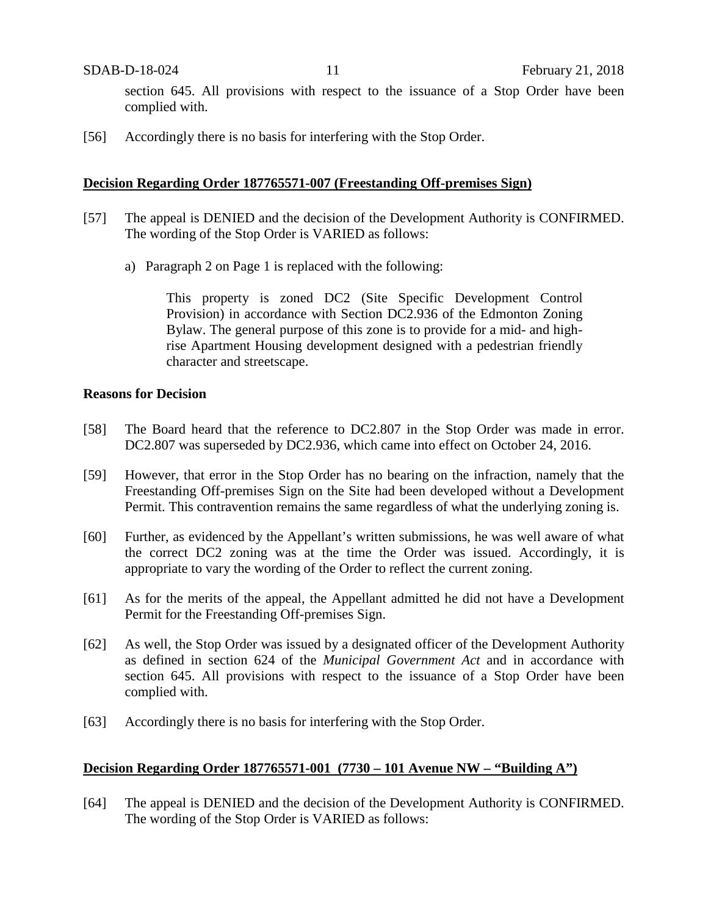section 645. All provisions with respect to the issuance of a Stop Order have been complied with.

[56] Accordingly there is no basis for interfering with the Stop Order.

## **Decision Regarding Order 187765571-007 (Freestanding Off-premises Sign)**

- [57] The appeal is DENIED and the decision of the Development Authority is CONFIRMED. The wording of the Stop Order is VARIED as follows:
	- a) Paragraph 2 on Page 1 is replaced with the following:

This property is zoned DC2 (Site Specific Development Control Provision) in accordance with Section DC2.936 of the Edmonton Zoning Bylaw. The general purpose of this zone is to provide for a mid- and highrise Apartment Housing development designed with a pedestrian friendly character and streetscape.

### **Reasons for Decision**

- [58] The Board heard that the reference to DC2.807 in the Stop Order was made in error. DC2.807 was superseded by DC2.936, which came into effect on October 24, 2016.
- [59] However, that error in the Stop Order has no bearing on the infraction, namely that the Freestanding Off-premises Sign on the Site had been developed without a Development Permit. This contravention remains the same regardless of what the underlying zoning is.
- [60] Further, as evidenced by the Appellant's written submissions, he was well aware of what the correct DC2 zoning was at the time the Order was issued. Accordingly, it is appropriate to vary the wording of the Order to reflect the current zoning.
- [61] As for the merits of the appeal, the Appellant admitted he did not have a Development Permit for the Freestanding Off-premises Sign.
- [62] As well, the Stop Order was issued by a designated officer of the Development Authority as defined in section 624 of the *Municipal Government Act* and in accordance with section 645. All provisions with respect to the issuance of a Stop Order have been complied with.
- [63] Accordingly there is no basis for interfering with the Stop Order.

# **Decision Regarding Order 187765571-001 (7730 – 101 Avenue NW – "Building A")**

[64] The appeal is DENIED and the decision of the Development Authority is CONFIRMED. The wording of the Stop Order is VARIED as follows: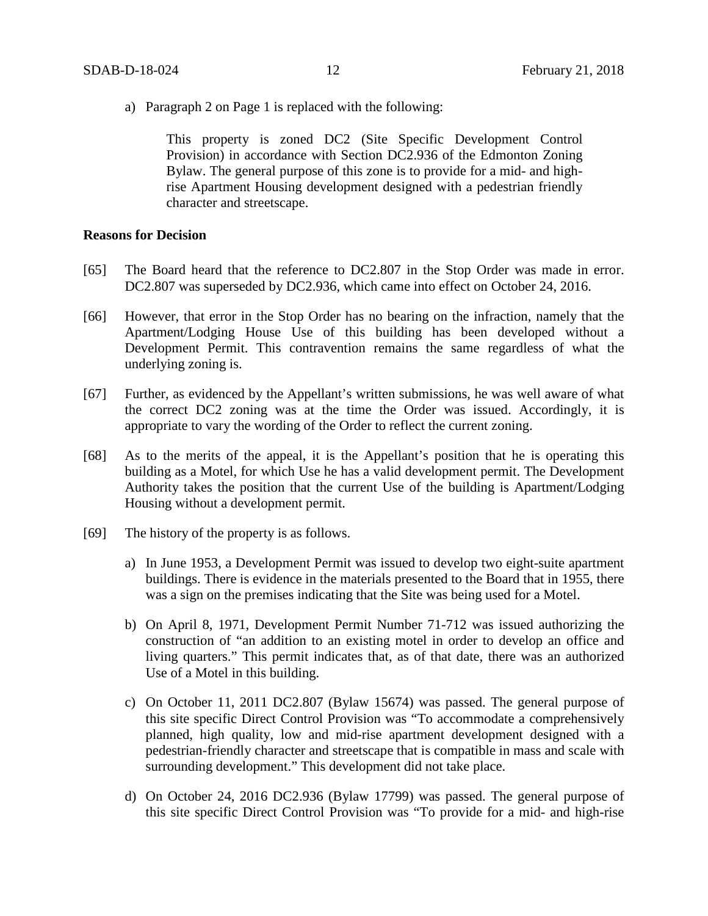a) Paragraph 2 on Page 1 is replaced with the following:

This property is zoned DC2 (Site Specific Development Control Provision) in accordance with Section DC2.936 of the Edmonton Zoning Bylaw. The general purpose of this zone is to provide for a mid- and highrise Apartment Housing development designed with a pedestrian friendly character and streetscape.

#### **Reasons for Decision**

- [65] The Board heard that the reference to DC2.807 in the Stop Order was made in error. DC2.807 was superseded by DC2.936, which came into effect on October 24, 2016.
- [66] However, that error in the Stop Order has no bearing on the infraction, namely that the Apartment/Lodging House Use of this building has been developed without a Development Permit. This contravention remains the same regardless of what the underlying zoning is.
- [67] Further, as evidenced by the Appellant's written submissions, he was well aware of what the correct DC2 zoning was at the time the Order was issued. Accordingly, it is appropriate to vary the wording of the Order to reflect the current zoning.
- [68] As to the merits of the appeal, it is the Appellant's position that he is operating this building as a Motel, for which Use he has a valid development permit. The Development Authority takes the position that the current Use of the building is Apartment/Lodging Housing without a development permit.
- [69] The history of the property is as follows.
	- a) In June 1953, a Development Permit was issued to develop two eight-suite apartment buildings. There is evidence in the materials presented to the Board that in 1955, there was a sign on the premises indicating that the Site was being used for a Motel.
	- b) On April 8, 1971, Development Permit Number 71-712 was issued authorizing the construction of "an addition to an existing motel in order to develop an office and living quarters." This permit indicates that, as of that date, there was an authorized Use of a Motel in this building.
	- c) On October 11, 2011 DC2.807 (Bylaw 15674) was passed. The general purpose of this site specific Direct Control Provision was "To accommodate a comprehensively planned, high quality, low and mid-rise apartment development designed with a pedestrian-friendly character and streetscape that is compatible in mass and scale with surrounding development." This development did not take place.
	- d) On October 24, 2016 DC2.936 (Bylaw 17799) was passed. The general purpose of this site specific Direct Control Provision was "To provide for a mid- and high-rise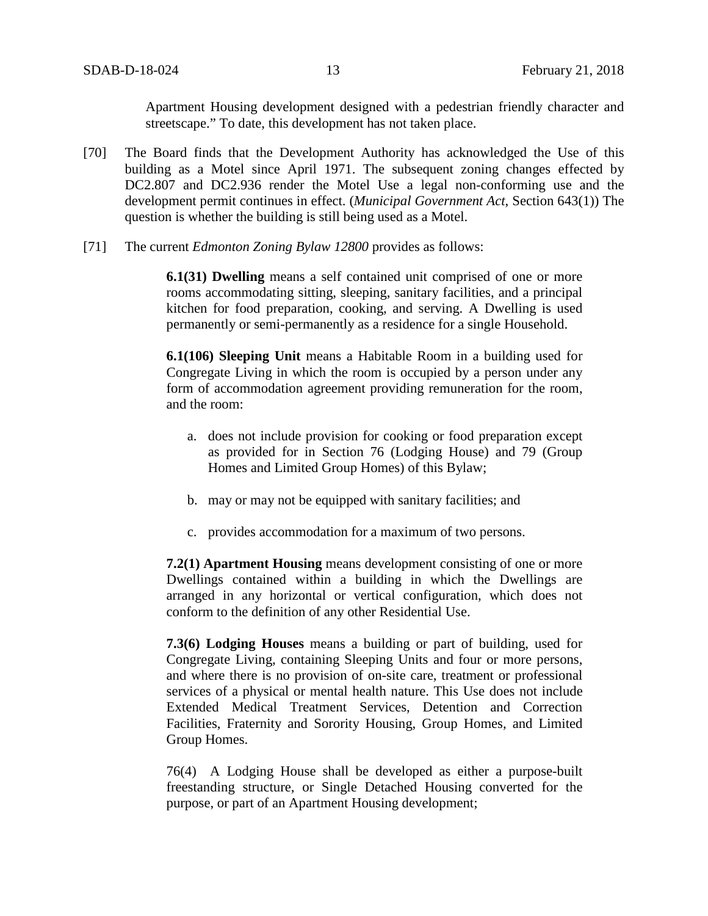Apartment Housing development designed with a pedestrian friendly character and streetscape." To date, this development has not taken place.

- [70] The Board finds that the Development Authority has acknowledged the Use of this building as a Motel since April 1971. The subsequent zoning changes effected by DC2.807 and DC2.936 render the Motel Use a legal non-conforming use and the development permit continues in effect. (*Municipal Government Act*, Section 643(1)) The question is whether the building is still being used as a Motel.
- [71] The current *Edmonton Zoning Bylaw 12800* provides as follows:

**6.1(31) Dwelling** means a self contained unit comprised of one or more rooms accommodating sitting, sleeping, sanitary facilities, and a principal kitchen for food preparation, cooking, and serving. A Dwelling is used permanently or semi-permanently as a residence for a single Household.

**6.1(106) Sleeping Unit** means a Habitable Room in a building used for Congregate Living in which the room is occupied by a person under any form of accommodation agreement providing remuneration for the room, and the room:

- a. does not include provision for cooking or food preparation except as provided for in Section 76 (Lodging House) and 79 (Group Homes and Limited Group Homes) of this Bylaw;
- b. may or may not be equipped with sanitary facilities; and
- c. provides accommodation for a maximum of two persons.

**7.2(1) Apartment Housing** means development consisting of one or more Dwellings contained within a building in which the Dwellings are arranged in any horizontal or vertical configuration, which does not conform to the definition of any other Residential Use.

**7.3(6) Lodging Houses** means a building or part of building, used for Congregate Living, containing Sleeping Units and four or more persons, and where there is no provision of on-site care, treatment or professional services of a physical or mental health nature. This Use does not include Extended Medical Treatment Services, Detention and Correction Facilities, Fraternity and Sorority Housing, Group Homes, and Limited Group Homes.

76(4) A Lodging House shall be developed as either a purpose-built freestanding structure, or Single Detached Housing converted for the purpose, or part of an Apartment Housing development;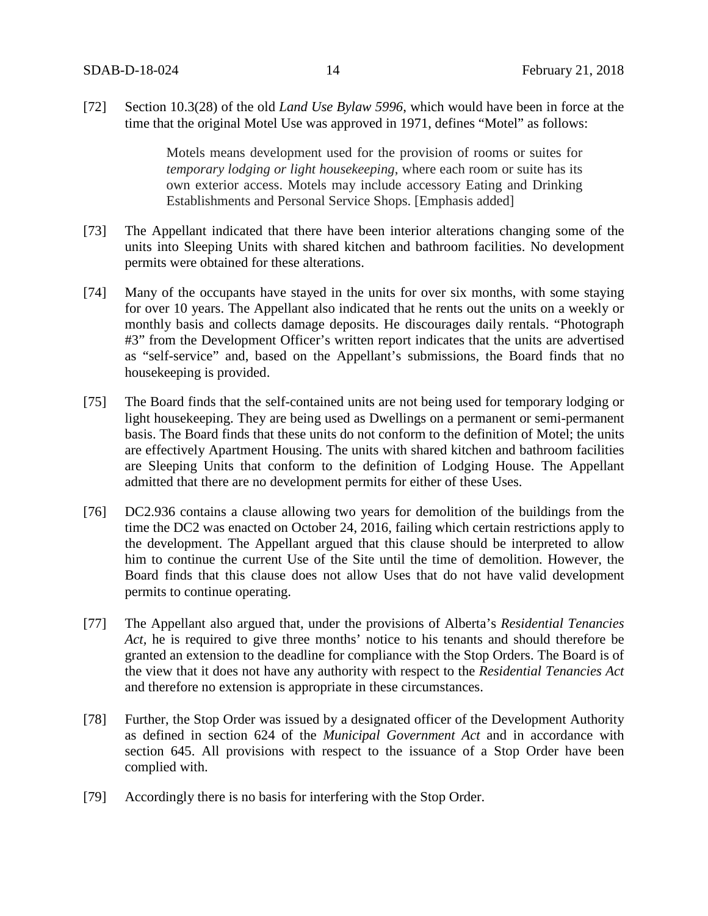[72] Section 10.3(28) of the old *Land Use Bylaw 5996*, which would have been in force at the time that the original Motel Use was approved in 1971, defines "Motel" as follows:

> Motels means development used for the provision of rooms or suites for *temporary lodging or light housekeeping*, where each room or suite has its own exterior access. Motels may include accessory Eating and Drinking Establishments and Personal Service Shops. [Emphasis added]

- [73] The Appellant indicated that there have been interior alterations changing some of the units into Sleeping Units with shared kitchen and bathroom facilities. No development permits were obtained for these alterations.
- [74] Many of the occupants have stayed in the units for over six months, with some staying for over 10 years. The Appellant also indicated that he rents out the units on a weekly or monthly basis and collects damage deposits. He discourages daily rentals. "Photograph #3" from the Development Officer's written report indicates that the units are advertised as "self-service" and, based on the Appellant's submissions, the Board finds that no housekeeping is provided.
- [75] The Board finds that the self-contained units are not being used for temporary lodging or light housekeeping. They are being used as Dwellings on a permanent or semi-permanent basis. The Board finds that these units do not conform to the definition of Motel; the units are effectively Apartment Housing. The units with shared kitchen and bathroom facilities are Sleeping Units that conform to the definition of Lodging House. The Appellant admitted that there are no development permits for either of these Uses.
- [76] DC2.936 contains a clause allowing two years for demolition of the buildings from the time the DC2 was enacted on October 24, 2016, failing which certain restrictions apply to the development. The Appellant argued that this clause should be interpreted to allow him to continue the current Use of the Site until the time of demolition. However, the Board finds that this clause does not allow Uses that do not have valid development permits to continue operating.
- [77] The Appellant also argued that, under the provisions of Alberta's *Residential Tenancies Act,* he is required to give three months' notice to his tenants and should therefore be granted an extension to the deadline for compliance with the Stop Orders. The Board is of the view that it does not have any authority with respect to the *Residential Tenancies Act* and therefore no extension is appropriate in these circumstances.
- [78] Further, the Stop Order was issued by a designated officer of the Development Authority as defined in section 624 of the *Municipal Government Act* and in accordance with section 645. All provisions with respect to the issuance of a Stop Order have been complied with.
- [79] Accordingly there is no basis for interfering with the Stop Order.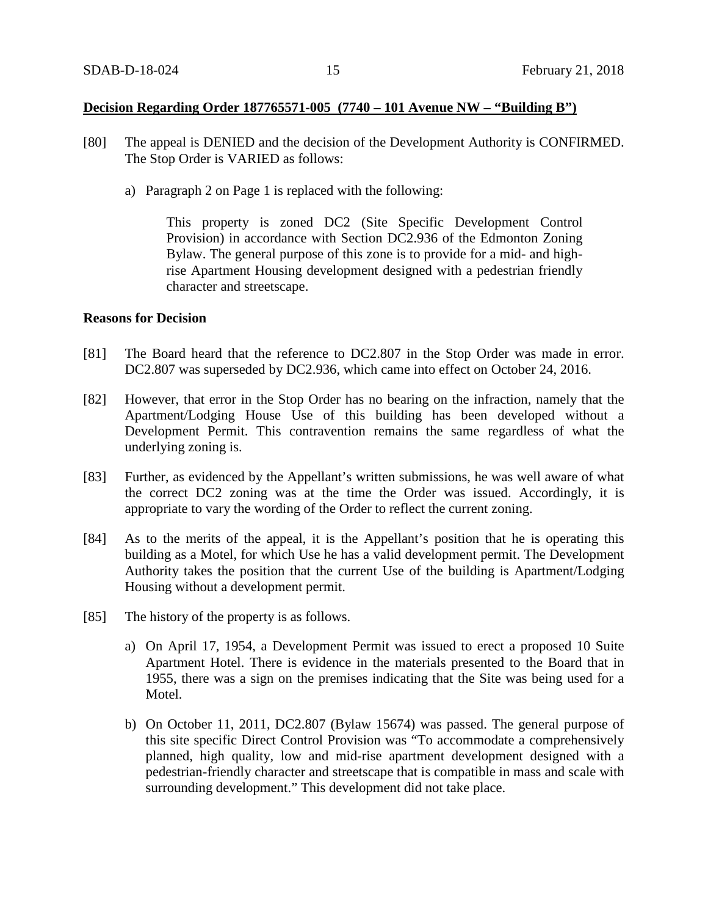# **Decision Regarding Order 187765571-005 (7740 – 101 Avenue NW – "Building B")**

- [80] The appeal is DENIED and the decision of the Development Authority is CONFIRMED. The Stop Order is VARIED as follows:
	- a) Paragraph 2 on Page 1 is replaced with the following:

This property is zoned DC2 (Site Specific Development Control Provision) in accordance with Section DC2.936 of the Edmonton Zoning Bylaw. The general purpose of this zone is to provide for a mid- and highrise Apartment Housing development designed with a pedestrian friendly character and streetscape.

### **Reasons for Decision**

- [81] The Board heard that the reference to DC2.807 in the Stop Order was made in error. DC2.807 was superseded by DC2.936, which came into effect on October 24, 2016.
- [82] However, that error in the Stop Order has no bearing on the infraction, namely that the Apartment/Lodging House Use of this building has been developed without a Development Permit. This contravention remains the same regardless of what the underlying zoning is.
- [83] Further, as evidenced by the Appellant's written submissions, he was well aware of what the correct DC2 zoning was at the time the Order was issued. Accordingly, it is appropriate to vary the wording of the Order to reflect the current zoning.
- [84] As to the merits of the appeal, it is the Appellant's position that he is operating this building as a Motel, for which Use he has a valid development permit. The Development Authority takes the position that the current Use of the building is Apartment/Lodging Housing without a development permit.
- [85] The history of the property is as follows.
	- a) On April 17, 1954, a Development Permit was issued to erect a proposed 10 Suite Apartment Hotel. There is evidence in the materials presented to the Board that in 1955, there was a sign on the premises indicating that the Site was being used for a Motel.
	- b) On October 11, 2011, DC2.807 (Bylaw 15674) was passed. The general purpose of this site specific Direct Control Provision was "To accommodate a comprehensively planned, high quality, low and mid-rise apartment development designed with a pedestrian-friendly character and streetscape that is compatible in mass and scale with surrounding development." This development did not take place.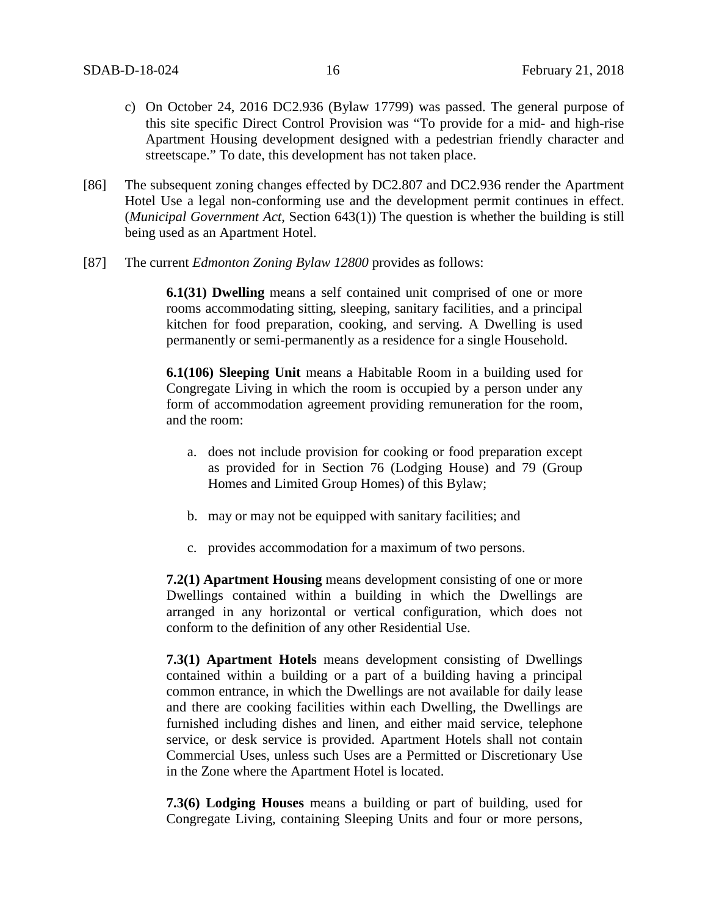- c) On October 24, 2016 DC2.936 (Bylaw 17799) was passed. The general purpose of this site specific Direct Control Provision was "To provide for a mid- and high-rise Apartment Housing development designed with a pedestrian friendly character and streetscape." To date, this development has not taken place.
- [86] The subsequent zoning changes effected by DC2.807 and DC2.936 render the Apartment Hotel Use a legal non-conforming use and the development permit continues in effect. (*Municipal Government Act*, Section 643(1)) The question is whether the building is still being used as an Apartment Hotel.
- [87] The current *Edmonton Zoning Bylaw 12800* provides as follows:

**6.1(31) Dwelling** means a self contained unit comprised of one or more rooms accommodating sitting, sleeping, sanitary facilities, and a principal kitchen for food preparation, cooking, and serving. A Dwelling is used permanently or semi-permanently as a residence for a single Household.

**6.1(106) Sleeping Unit** means a Habitable Room in a building used for Congregate Living in which the room is occupied by a person under any form of accommodation agreement providing remuneration for the room, and the room:

- a. does not include provision for cooking or food preparation except as provided for in Section 76 (Lodging House) and 79 (Group Homes and Limited Group Homes) of this Bylaw;
- b. may or may not be equipped with sanitary facilities; and
- c. provides accommodation for a maximum of two persons.

**7.2(1) Apartment Housing** means development consisting of one or more Dwellings contained within a building in which the Dwellings are arranged in any horizontal or vertical configuration, which does not conform to the definition of any other Residential Use.

**7.3(1) Apartment Hotels** means development consisting of Dwellings contained within a building or a part of a building having a principal common entrance, in which the Dwellings are not available for daily lease and there are cooking facilities within each Dwelling, the Dwellings are furnished including dishes and linen, and either maid service, telephone service, or desk service is provided. Apartment Hotels shall not contain Commercial Uses, unless such Uses are a Permitted or Discretionary Use in the Zone where the Apartment Hotel is located.

**7.3(6) Lodging Houses** means a building or part of building, used for Congregate Living, containing Sleeping Units and four or more persons,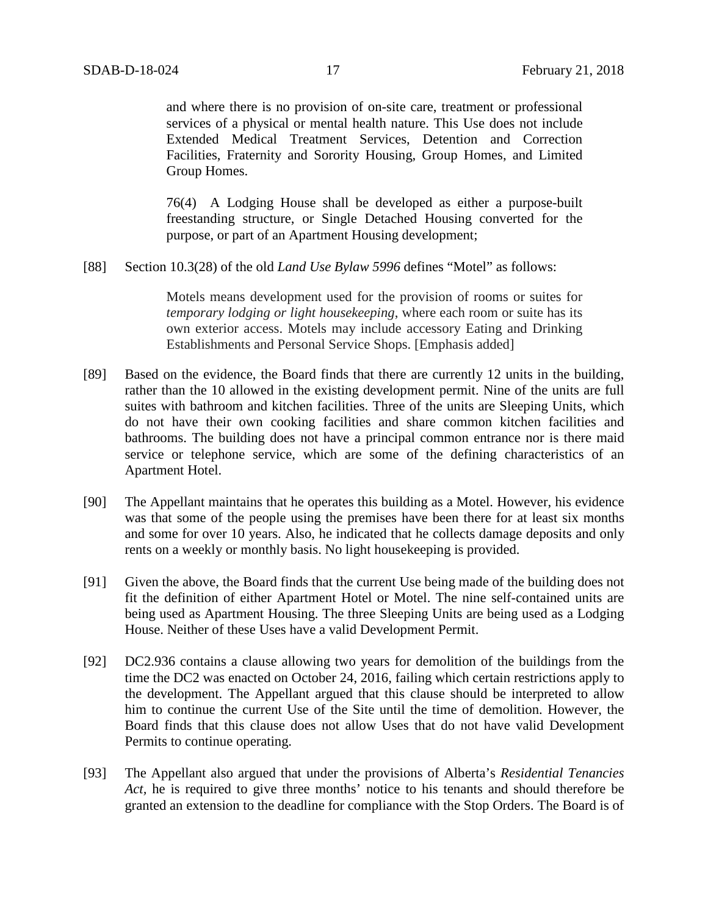and where there is no provision of on-site care, treatment or professional services of a physical or mental health nature. This Use does not include Extended Medical Treatment Services, Detention and Correction Facilities, Fraternity and Sorority Housing, Group Homes, and Limited Group Homes.

76(4) A Lodging House shall be developed as either a purpose-built freestanding structure, or Single Detached Housing converted for the purpose, or part of an Apartment Housing development;

[88] Section 10.3(28) of the old *Land Use Bylaw 5996* defines "Motel" as follows:

Motels means development used for the provision of rooms or suites for *temporary lodging or light housekeeping*, where each room or suite has its own exterior access. Motels may include accessory Eating and Drinking Establishments and Personal Service Shops. [Emphasis added]

- [89] Based on the evidence, the Board finds that there are currently 12 units in the building, rather than the 10 allowed in the existing development permit. Nine of the units are full suites with bathroom and kitchen facilities. Three of the units are Sleeping Units, which do not have their own cooking facilities and share common kitchen facilities and bathrooms. The building does not have a principal common entrance nor is there maid service or telephone service, which are some of the defining characteristics of an Apartment Hotel.
- [90] The Appellant maintains that he operates this building as a Motel. However, his evidence was that some of the people using the premises have been there for at least six months and some for over 10 years. Also, he indicated that he collects damage deposits and only rents on a weekly or monthly basis. No light housekeeping is provided.
- [91] Given the above, the Board finds that the current Use being made of the building does not fit the definition of either Apartment Hotel or Motel. The nine self-contained units are being used as Apartment Housing. The three Sleeping Units are being used as a Lodging House. Neither of these Uses have a valid Development Permit.
- [92] DC2.936 contains a clause allowing two years for demolition of the buildings from the time the DC2 was enacted on October 24, 2016, failing which certain restrictions apply to the development. The Appellant argued that this clause should be interpreted to allow him to continue the current Use of the Site until the time of demolition. However, the Board finds that this clause does not allow Uses that do not have valid Development Permits to continue operating.
- [93] The Appellant also argued that under the provisions of Alberta's *Residential Tenancies Act,* he is required to give three months' notice to his tenants and should therefore be granted an extension to the deadline for compliance with the Stop Orders. The Board is of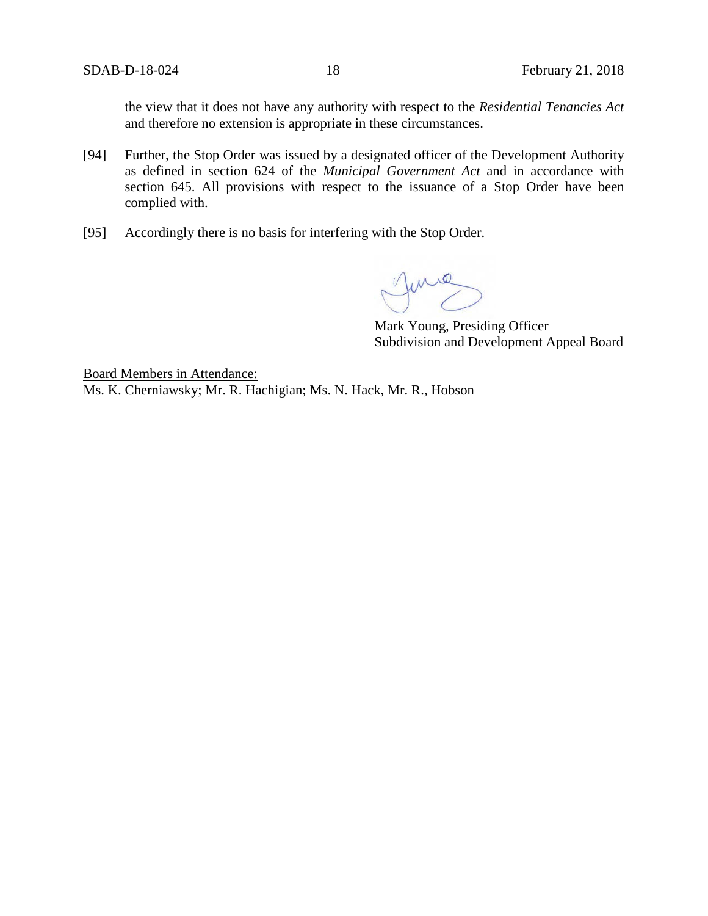the view that it does not have any authority with respect to the *Residential Tenancies Act* and therefore no extension is appropriate in these circumstances.

- [94] Further, the Stop Order was issued by a designated officer of the Development Authority as defined in section 624 of the *Municipal Government Act* and in accordance with section 645. All provisions with respect to the issuance of a Stop Order have been complied with.
- [95] Accordingly there is no basis for interfering with the Stop Order.

June

Mark Young, Presiding Officer Subdivision and Development Appeal Board

Board Members in Attendance:

Ms. K. Cherniawsky; Mr. R. Hachigian; Ms. N. Hack, Mr. R., Hobson